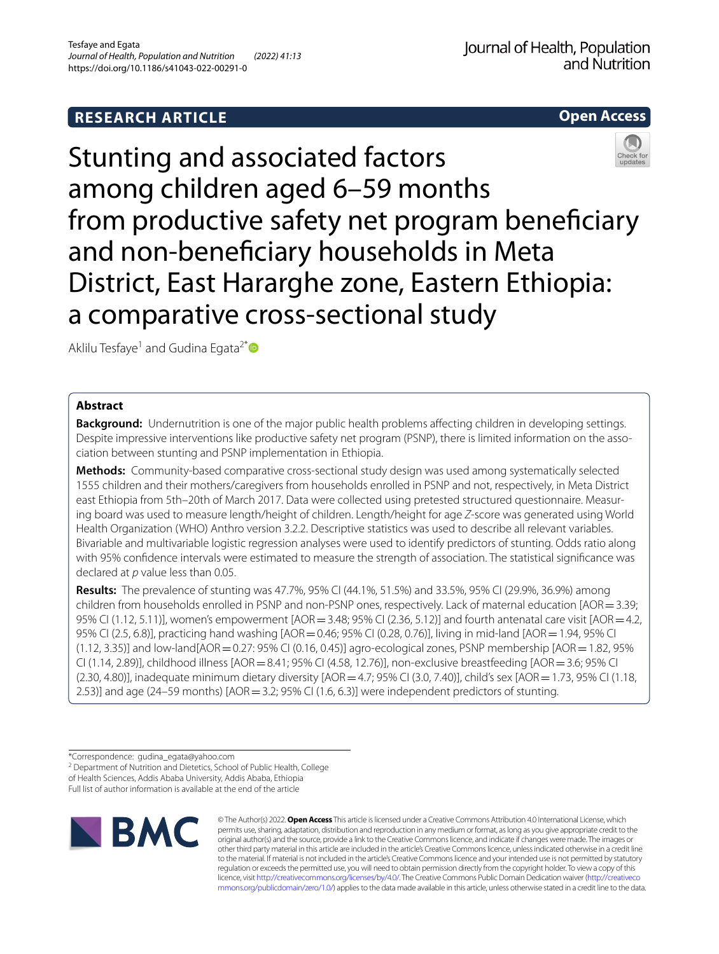## **RESEARCH ARTICLE**



# Stunting and associated factors among children aged 6–59 months from productive safety net program benefciary and non-benefciary households in Meta District, East Hararghe zone, Eastern Ethiopia: a comparative cross-sectional study

Aklilu Tesfaye<sup>1</sup> and Gudina Egata<sup>2[\\*](http://orcid.org/0000-0001-6541-0383)</sup>

## **Abstract**

**Background:** Undernutrition is one of the major public health problems affecting children in developing settings. Despite impressive interventions like productive safety net program (PSNP), there is limited information on the association between stunting and PSNP implementation in Ethiopia.

**Methods:** Community-based comparative cross-sectional study design was used among systematically selected 1555 children and their mothers/caregivers from households enrolled in PSNP and not, respectively, in Meta District east Ethiopia from 5th–20th of March 2017. Data were collected using pretested structured questionnaire. Measuring board was used to measure length/height of children. Length/height for age *Z*-score was generated using World Health Organization (WHO) Anthro version 3.2.2. Descriptive statistics was used to describe all relevant variables. Bivariable and multivariable logistic regression analyses were used to identify predictors of stunting. Odds ratio along with 95% confdence intervals were estimated to measure the strength of association. The statistical signifcance was declared at *p* value less than 0.05.

**Results:** The prevalence of stunting was 47.7%, 95% CI (44.1%, 51.5%) and 33.5%, 95% CI (29.9%, 36.9%) among children from households enrolled in PSNP and non-PSNP ones, respectively. Lack of maternal education [AOR=3.39; 95% CI (1.12, 5.11)], women's empowerment [AOR = 3.48; 95% CI (2.36, 5.12)] and fourth antenatal care visit [AOR = 4.2, 95% CI (2.5, 6.8)], practicing hand washing [AOR=0.46; 95% CI (0.28, 0.76)], living in mid-land [AOR=1.94, 95% CI  $(1.12, 3.35)$ ] and low-land[AOR = 0.27: 95% CI (0.16, 0.45)] agro-ecological zones, PSNP membership [AOR = 1.82, 95% CI (1.14, 2.89)], childhood illness [AOR=8.41; 95% CI (4.58, 12.76)], non-exclusive breastfeeding [AOR=3.6; 95% CI (2.30, 4.80)], inadequate minimum dietary diversity [AOR=4.7; 95% CI (3.0, 7.40)], child's sex [AOR=1.73, 95% CI (1.18, 2.53)] and age (24–59 months) [AOR = 3.2; 95% CI (1.6, 6.3)] were independent predictors of stunting.

<sup>2</sup> Department of Nutrition and Dietetics, School of Public Health, College of Health Sciences, Addis Ababa University, Addis Ababa, Ethiopia

Full list of author information is available at the end of the article



© The Author(s) 2022. **Open Access** This article is licensed under a Creative Commons Attribution 4.0 International License, which permits use, sharing, adaptation, distribution and reproduction in any medium or format, as long as you give appropriate credit to the original author(s) and the source, provide a link to the Creative Commons licence, and indicate if changes were made. The images or other third party material in this article are included in the article's Creative Commons licence, unless indicated otherwise in a credit line to the material. If material is not included in the article's Creative Commons licence and your intended use is not permitted by statutory regulation or exceeds the permitted use, you will need to obtain permission directly from the copyright holder. To view a copy of this licence, visit [http://creativecommons.org/licenses/by/4.0/.](http://creativecommons.org/licenses/by/4.0/) The Creative Commons Public Domain Dedication waiver ([http://creativeco](http://creativecommons.org/publicdomain/zero/1.0/) [mmons.org/publicdomain/zero/1.0/](http://creativecommons.org/publicdomain/zero/1.0/)) applies to the data made available in this article, unless otherwise stated in a credit line to the data.

<sup>\*</sup>Correspondence: gudina\_egata@yahoo.com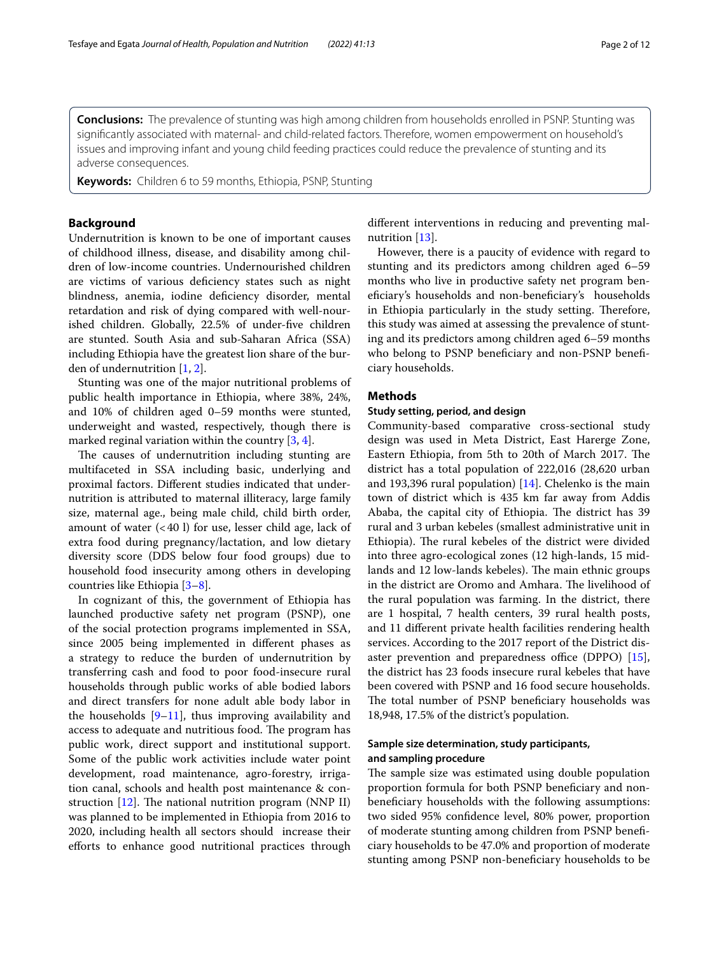**Conclusions:** The prevalence of stunting was high among children from households enrolled in PSNP. Stunting was signifcantly associated with maternal- and child-related factors. Therefore, women empowerment on household's issues and improving infant and young child feeding practices could reduce the prevalence of stunting and its adverse consequences.

**Keywords:** Children 6 to 59 months, Ethiopia, PSNP, Stunting

## **Background**

Undernutrition is known to be one of important causes of childhood illness, disease, and disability among children of low-income countries. Undernourished children are victims of various defciency states such as night blindness, anemia, iodine defciency disorder, mental retardation and risk of dying compared with well-nourished children. Globally, 22.5% of under-fve children are stunted. South Asia and sub-Saharan Africa (SSA) including Ethiopia have the greatest lion share of the burden of undernutrition [\[1](#page-11-0), [2\]](#page-11-1).

Stunting was one of the major nutritional problems of public health importance in Ethiopia, where 38%, 24%, and 10% of children aged 0–59 months were stunted, underweight and wasted, respectively, though there is marked reginal variation within the country  $[3, 4]$  $[3, 4]$  $[3, 4]$  $[3, 4]$ .

The causes of undernutrition including stunting are multifaceted in SSA including basic, underlying and proximal factors. Diferent studies indicated that undernutrition is attributed to maternal illiteracy, large family size, maternal age., being male child, child birth order, amount of water  $( $40 \, \text{I}$ )$  for use, lesser child age, lack of extra food during pregnancy/lactation, and low dietary diversity score (DDS below four food groups) due to household food insecurity among others in developing countries like Ethiopia [[3](#page-11-2)[–8](#page-11-4)].

In cognizant of this, the government of Ethiopia has launched productive safety net program (PSNP), one of the social protection programs implemented in SSA, since 2005 being implemented in diferent phases as a strategy to reduce the burden of undernutrition by transferring cash and food to poor food-insecure rural households through public works of able bodied labors and direct transfers for none adult able body labor in the households  $[9-11]$  $[9-11]$ , thus improving availability and access to adequate and nutritious food. The program has public work, direct support and institutional support. Some of the public work activities include water point development, road maintenance, agro-forestry, irrigation canal, schools and health post maintenance & construction  $[12]$  $[12]$ . The national nutrition program (NNP II) was planned to be implemented in Ethiopia from 2016 to 2020, including health all sectors should increase their eforts to enhance good nutritional practices through

diferent interventions in reducing and preventing malnutrition [\[13\]](#page-11-8).

However, there is a paucity of evidence with regard to stunting and its predictors among children aged 6–59 months who live in productive safety net program benefciary's households and non-benefciary's households in Ethiopia particularly in the study setting. Therefore, this study was aimed at assessing the prevalence of stunting and its predictors among children aged 6–59 months who belong to PSNP beneficiary and non-PSNP beneficiary households.

## **Methods**

#### **Study setting, period, and design**

Community-based comparative cross-sectional study design was used in Meta District, East Harerge Zone, Eastern Ethiopia, from 5th to 20th of March 2017. The district has a total population of 222,016 (28,620 urban and 193,396 rural population) [\[14](#page-11-9)]. Chelenko is the main town of district which is 435 km far away from Addis Ababa, the capital city of Ethiopia. The district has 39 rural and 3 urban kebeles (smallest administrative unit in Ethiopia). The rural kebeles of the district were divided into three agro-ecological zones (12 high-lands, 15 midlands and 12 low-lands kebeles). The main ethnic groups in the district are Oromo and Amhara. The livelihood of the rural population was farming. In the district, there are 1 hospital, 7 health centers, 39 rural health posts, and 11 diferent private health facilities rendering health services. According to the 2017 report of the District disaster prevention and preparedness office (DPPO)  $[15]$  $[15]$ , the district has 23 foods insecure rural kebeles that have been covered with PSNP and 16 food secure households. The total number of PSNP beneficiary households was 18,948, 17.5% of the district's population.

## **Sample size determination, study participants, and sampling procedure**

The sample size was estimated using double population proportion formula for both PSNP benefciary and nonbenefciary households with the following assumptions: two sided 95% confdence level, 80% power, proportion of moderate stunting among children from PSNP benefciary households to be 47.0% and proportion of moderate stunting among PSNP non-benefciary households to be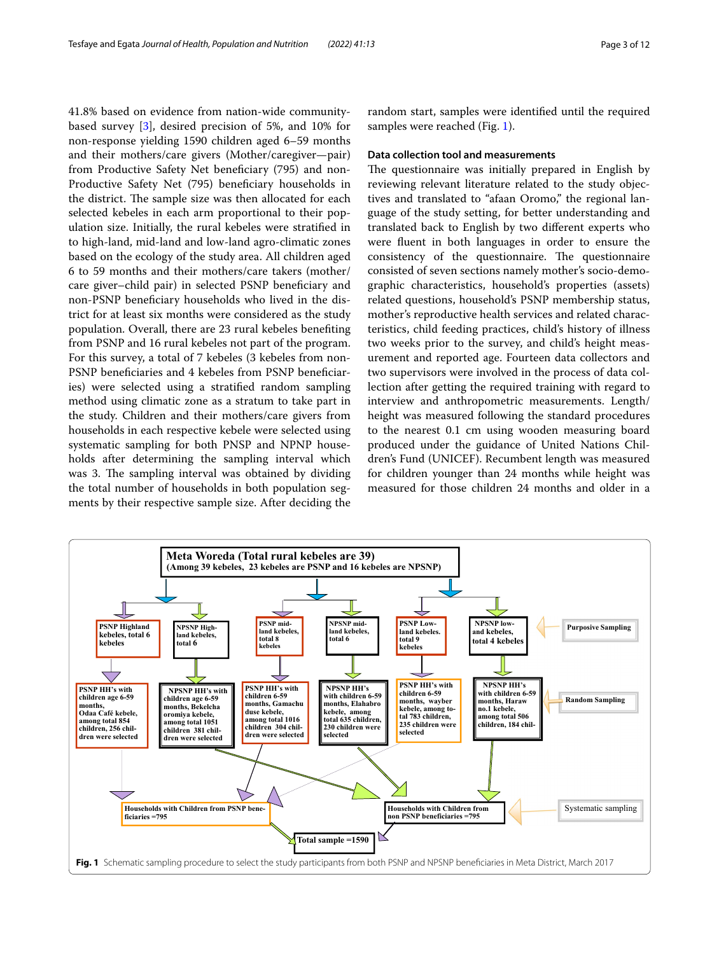41.8% based on evidence from nation-wide communitybased survey [\[3](#page-11-2)], desired precision of 5%, and 10% for non-response yielding 1590 children aged 6–59 months and their mothers/care givers (Mother/caregiver—pair) from Productive Safety Net beneficiary (795) and non-Productive Safety Net (795) beneficiary households in the district. The sample size was then allocated for each selected kebeles in each arm proportional to their population size. Initially, the rural kebeles were stratifed in to high-land, mid-land and low-land agro-climatic zones based on the ecology of the study area. All children aged 6 to 59 months and their mothers/care takers (mother/ care giver–child pair) in selected PSNP benefciary and non-PSNP benefciary households who lived in the district for at least six months were considered as the study population. Overall, there are 23 rural kebeles benefting from PSNP and 16 rural kebeles not part of the program. For this survey, a total of 7 kebeles (3 kebeles from non-PSNP benefciaries and 4 kebeles from PSNP benefciaries) were selected using a stratifed random sampling method using climatic zone as a stratum to take part in the study. Children and their mothers/care givers from households in each respective kebele were selected using systematic sampling for both PNSP and NPNP households after determining the sampling interval which was 3. The sampling interval was obtained by dividing the total number of households in both population segments by their respective sample size. After deciding the random start, samples were identifed until the required samples were reached (Fig. [1](#page-2-0)).

## **Data collection tool and measurements**

The questionnaire was initially prepared in English by reviewing relevant literature related to the study objectives and translated to "afaan Oromo," the regional language of the study setting, for better understanding and translated back to English by two diferent experts who were fuent in both languages in order to ensure the consistency of the questionnaire. The questionnaire consisted of seven sections namely mother's socio-demographic characteristics, household's properties (assets) related questions, household's PSNP membership status, mother's reproductive health services and related characteristics, child feeding practices, child's history of illness two weeks prior to the survey, and child's height measurement and reported age. Fourteen data collectors and two supervisors were involved in the process of data collection after getting the required training with regard to interview and anthropometric measurements. Length/ height was measured following the standard procedures to the nearest 0.1 cm using wooden measuring board produced under the guidance of United Nations Children's Fund (UNICEF). Recumbent length was measured for children younger than 24 months while height was measured for those children 24 months and older in a

<span id="page-2-0"></span>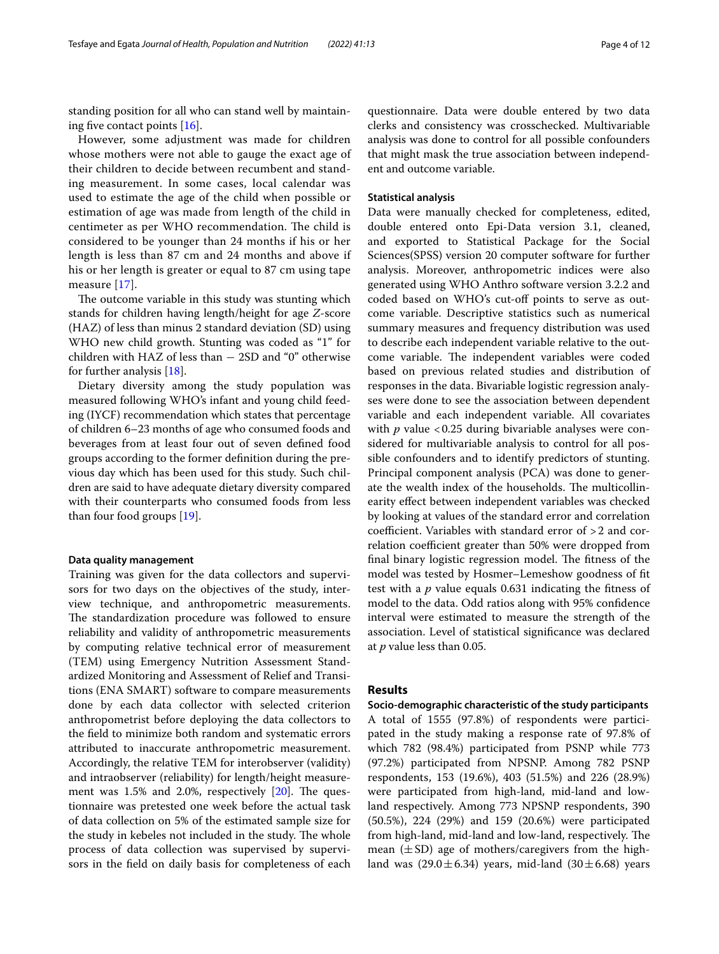standing position for all who can stand well by maintaining fve contact points [\[16](#page-11-11)].

However, some adjustment was made for children whose mothers were not able to gauge the exact age of their children to decide between recumbent and standing measurement. In some cases, local calendar was used to estimate the age of the child when possible or estimation of age was made from length of the child in centimeter as per WHO recommendation. The child is considered to be younger than 24 months if his or her length is less than 87 cm and 24 months and above if his or her length is greater or equal to 87 cm using tape measure [[17](#page-11-12)].

The outcome variable in this study was stunting which stands for children having length/height for age *Z*-score (HAZ) of less than minus 2 standard deviation (SD) using WHO new child growth. Stunting was coded as "1" for children with HAZ of less than − 2SD and "0" otherwise for further analysis [\[18](#page-11-13)].

Dietary diversity among the study population was measured following WHO's infant and young child feeding (IYCF) recommendation which states that percentage of children 6–23 months of age who consumed foods and beverages from at least four out of seven defned food groups according to the former defnition during the previous day which has been used for this study. Such children are said to have adequate dietary diversity compared with their counterparts who consumed foods from less than four food groups [[19](#page-11-14)].

## **Data quality management**

Training was given for the data collectors and supervisors for two days on the objectives of the study, interview technique, and anthropometric measurements. The standardization procedure was followed to ensure reliability and validity of anthropometric measurements by computing relative technical error of measurement (TEM) using Emergency Nutrition Assessment Standardized Monitoring and Assessment of Relief and Transitions (ENA SMART) software to compare measurements done by each data collector with selected criterion anthropometrist before deploying the data collectors to the feld to minimize both random and systematic errors attributed to inaccurate anthropometric measurement. Accordingly, the relative TEM for interobserver (validity) and intraobserver (reliability) for length/height measurement was  $1.5\%$  and  $2.0\%$ , respectively  $[20]$ . The questionnaire was pretested one week before the actual task of data collection on 5% of the estimated sample size for the study in kebeles not included in the study. The whole process of data collection was supervised by supervisors in the feld on daily basis for completeness of each

questionnaire. Data were double entered by two data clerks and consistency was crosschecked. Multivariable analysis was done to control for all possible confounders that might mask the true association between independent and outcome variable.

## **Statistical analysis**

Data were manually checked for completeness, edited, double entered onto Epi-Data version 3.1, cleaned, and exported to Statistical Package for the Social Sciences(SPSS) version 20 computer software for further analysis. Moreover, anthropometric indices were also generated using WHO Anthro software version 3.2.2 and coded based on WHO's cut-off points to serve as outcome variable. Descriptive statistics such as numerical summary measures and frequency distribution was used to describe each independent variable relative to the outcome variable. The independent variables were coded based on previous related studies and distribution of responses in the data. Bivariable logistic regression analyses were done to see the association between dependent variable and each independent variable. All covariates with  $p$  value <0.25 during bivariable analyses were considered for multivariable analysis to control for all possible confounders and to identify predictors of stunting. Principal component analysis (PCA) was done to generate the wealth index of the households. The multicollinearity efect between independent variables was checked by looking at values of the standard error and correlation coefficient. Variables with standard error of  $>2$  and correlation coefficient greater than 50% were dropped from final binary logistic regression model. The fitness of the model was tested by Hosmer–Lemeshow goodness of ft test with a *p* value equals 0.631 indicating the ftness of model to the data. Odd ratios along with 95% confdence interval were estimated to measure the strength of the association. Level of statistical signifcance was declared at *p* value less than 0.05.

## **Results**

**Socio‑demographic characteristic of the study participants** A total of 1555 (97.8%) of respondents were participated in the study making a response rate of 97.8% of which 782 (98.4%) participated from PSNP while 773 (97.2%) participated from NPSNP. Among 782 PSNP respondents, 153 (19.6%), 403 (51.5%) and 226 (28.9%) were participated from high-land, mid-land and lowland respectively. Among 773 NPSNP respondents, 390 (50.5%), 224 (29%) and 159 (20.6%) were participated from high-land, mid-land and low-land, respectively. The mean  $(\pm SD)$  age of mothers/caregivers from the highland was  $(29.0 \pm 6.34)$  years, mid-land  $(30 \pm 6.68)$  years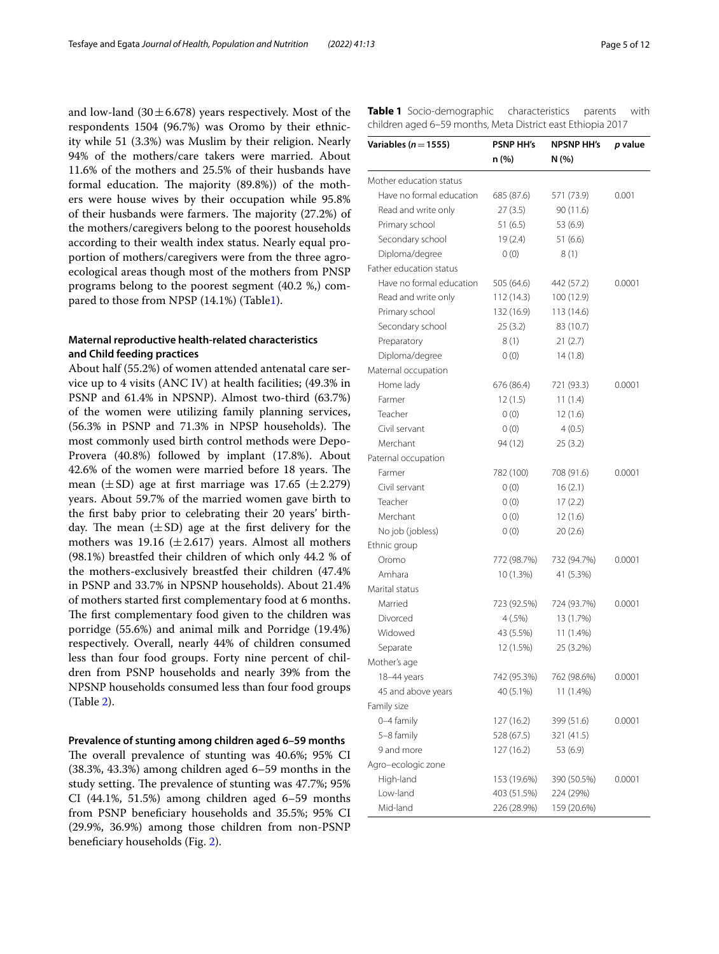and low-land  $(30 \pm 6.678)$  years respectively. Most of the respondents 1504 (96.7%) was Oromo by their ethnicity while 51 (3.3%) was Muslim by their religion. Nearly 94% of the mothers/care takers were married. About 11.6% of the mothers and 25.5% of their husbands have formal education. The majority  $(89.8\%)$  of the mothers were house wives by their occupation while 95.8% of their husbands were farmers. The majority  $(27.2%)$  of the mothers/caregivers belong to the poorest households according to their wealth index status. Nearly equal proportion of mothers/caregivers were from the three agroecological areas though most of the mothers from PNSP programs belong to the poorest segment (40.2 %,) compared to those from NPSP (14.1%) (Table[1\)](#page-4-0).

## **Maternal reproductive health‑related characteristics and Child feeding practices**

About half (55.2%) of women attended antenatal care service up to 4 visits (ANC IV) at health facilities; (49.3% in PSNP and 61.4% in NPSNP). Almost two-third (63.7%) of the women were utilizing family planning services,  $(56.3\%$  in PSNP and  $71.3\%$  in NPSP households). The most commonly used birth control methods were Depo-Provera (40.8%) followed by implant (17.8%). About 42.6% of the women were married before 18 years. The mean  $(\pm SD)$  age at first marriage was 17.65  $(\pm 2.279)$ years. About 59.7% of the married women gave birth to the frst baby prior to celebrating their 20 years' birthday. The mean  $(\pm SD)$  age at the first delivery for the mothers was 19.16 ( $\pm$  2.617) years. Almost all mothers (98.1%) breastfed their children of which only 44.2 % of the mothers-exclusively breastfed their children (47.4% in PSNP and 33.7% in NPSNP households). About 21.4% of mothers started frst complementary food at 6 months. The first complementary food given to the children was porridge (55.6%) and animal milk and Porridge (19.4%) respectively. Overall, nearly 44% of children consumed less than four food groups. Forty nine percent of children from PSNP households and nearly 39% from the NPSNP households consumed less than four food groups (Table [2](#page-6-0)).

## **Prevalence of stunting among children aged 6–59 months**

The overall prevalence of stunting was 40.6%; 95% CI (38.3%, 43.3%) among children aged 6–59 months in the study setting. The prevalence of stunting was 47.7%; 95% CI (44.1%, 51.5%) among children aged 6–59 months from PSNP benefciary households and 35.5%; 95% CI (29.9%, 36.9%) among those children from non-PSNP benefciary households (Fig. [2](#page-7-0)).

<span id="page-4-0"></span>**Table 1** Socio-demographic characteristics parents with children aged 6–59 months, Meta District east Ethiopia 2017

| Variables ( $n = 1555$ ) | <b>PSNP HH's</b> | NPSNP HH's  | p value |
|--------------------------|------------------|-------------|---------|
|                          | n (%)            | N (%)       |         |
| Mother education status  |                  |             |         |
| Have no formal education | 685 (87.6)       | 571 (73.9)  | 0.001   |
| Read and write only      | 27(3.5)          | 90 (11.6)   |         |
| Primary school           | 51 (6.5)         | 53 (6.9)    |         |
| Secondary school         | 19 (2.4)         | 51(6.6)     |         |
| Diploma/degree           | 0(0)             | 8(1)        |         |
| Father education status  |                  |             |         |
| Have no formal education | 505 (64.6)       | 442 (57.2)  | 0.0001  |
| Read and write only      | 112(14.3)        | 100 (12.9)  |         |
| Primary school           | 132 (16.9)       | 113 (14.6)  |         |
| Secondary school         | 25(3.2)          | 83 (10.7)   |         |
| Preparatory              | 8(1)             | 21(2.7)     |         |
| Diploma/degree           | 0(0)             | 14(1.8)     |         |
| Maternal occupation      |                  |             |         |
| Home lady                | 676 (86.4)       | 721 (93.3)  | 0.0001  |
| Farmer                   | 12(1.5)          | 11(1.4)     |         |
| Teacher                  | 0(0)             | 12(1.6)     |         |
| Civil servant            | 0(0)             | 4(0.5)      |         |
| Merchant                 | 94 (12)          | 25(3.2)     |         |
| Paternal occupation      |                  |             |         |
| Farmer                   | 782 (100)        | 708 (91.6)  | 0.0001  |
| Civil servant            | 0(0)             | 16(2.1)     |         |
| Teacher                  | 0(0)             | 17(2.2)     |         |
| Merchant                 | 0(0)             | 12(1.6)     |         |
| No job (jobless)         | 0(0)             | 20(2.6)     |         |
| Ethnic group             |                  |             |         |
| Oromo                    | 772 (98.7%)      | 732 (94.7%) | 0.0001  |
| Amhara                   | 10 (1.3%)        | 41 (5.3%)   |         |
| Marital status           |                  |             |         |
| Married                  | 723 (92.5%)      | 724 (93.7%) | 0.0001  |
| Divorced                 | $4(.5\%)$        | 13 (1.7%)   |         |
| Widowed                  | 43 (5.5%)        | 11 (1.4%)   |         |
| Separate                 | 12 (1.5%)        | 25 (3.2%)   |         |
| Mother's age             |                  |             |         |
| 18-44 years              | 742 (95.3%)      | 762 (98.6%) | 0.0001  |
| 45 and above years       | 40 (5.1%)        | 11 (1.4%)   |         |
| Family size              |                  |             |         |
| 0-4 family               | 127 (16.2)       | 399 (51.6)  | 0.0001  |
| 5-8 family               | 528 (67.5)       | 321 (41.5)  |         |
| 9 and more               | 127 (16.2)       | 53 (6.9)    |         |
| Agro-ecologic zone       |                  |             |         |
| High-land                | 153 (19.6%)      | 390 (50.5%) | 0.0001  |
| Low-land                 | 403 (51.5%)      | 224 (29%)   |         |
| Mid-land                 | 226 (28.9%)      | 159 (20.6%) |         |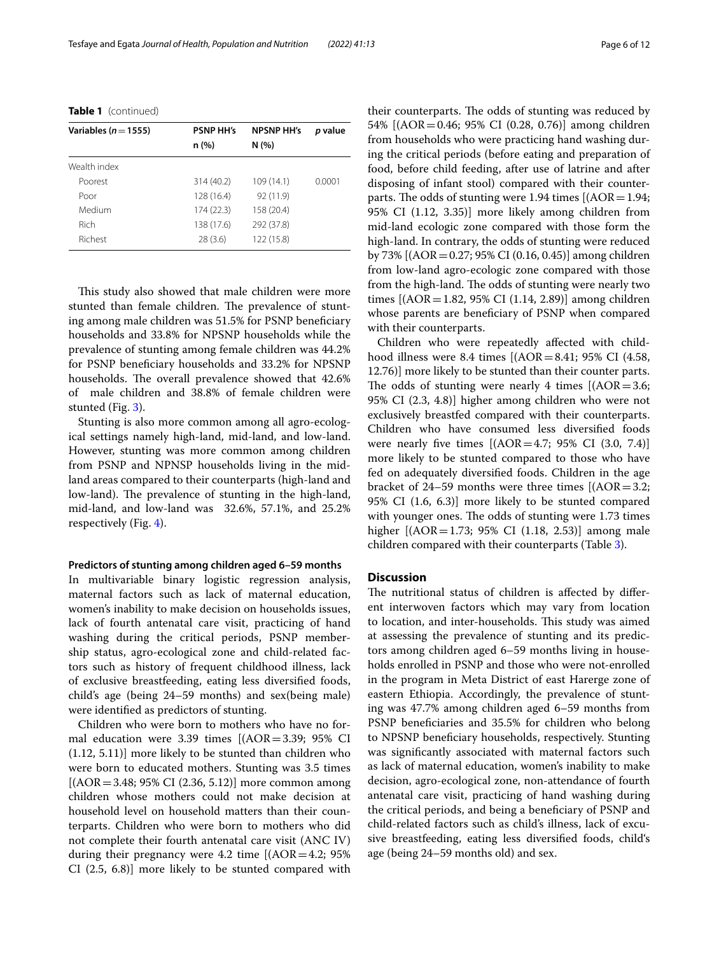| Variables ( $n = 1555$ ) | <b>PSNP HH's</b> | <b>NPSNP HH's</b> | p value |
|--------------------------|------------------|-------------------|---------|
|                          | n (%)            | N(%)              |         |
| Wealth index             |                  |                   |         |
| Poorest                  | 314 (40.2)       | 109(14.1)         | 0.0001  |
| Poor                     | 128 (16.4)       | 92 (11.9)         |         |
| Medium                   | 174 (22.3)       | 158 (20.4)        |         |
| <b>Rich</b>              | 138 (17.6)       | 292 (37.8)        |         |
| Richest                  | 28(3.6)          | 122 (15.8)        |         |
|                          |                  |                   |         |

**Table 1** (continued)

This study also showed that male children were more stunted than female children. The prevalence of stunting among male children was 51.5% for PSNP benefciary households and 33.8% for NPSNP households while the prevalence of stunting among female children was 44.2% for PSNP benefciary households and 33.2% for NPSNP households. The overall prevalence showed that 42.6% of male children and 38.8% of female children were stunted (Fig. [3\)](#page-7-1).

Stunting is also more common among all agro-ecological settings namely high-land, mid-land, and low-land. However, stunting was more common among children from PSNP and NPNSP households living in the midland areas compared to their counterparts (high-land and low-land). The prevalence of stunting in the high-land, mid-land, and low-land was 32.6%, 57.1%, and 25.2% respectively (Fig. [4\)](#page-7-2).

## **Predictors of stunting among children aged 6–59 months**

In multivariable binary logistic regression analysis, maternal factors such as lack of maternal education, women's inability to make decision on households issues, lack of fourth antenatal care visit, practicing of hand washing during the critical periods, PSNP membership status, agro-ecological zone and child-related factors such as history of frequent childhood illness, lack of exclusive breastfeeding, eating less diversifed foods, child's age (being 24–59 months) and sex(being male) were identifed as predictors of stunting.

Children who were born to mothers who have no formal education were 3.39 times [(AOR=3.39; 95% CI (1.12, 5.11)] more likely to be stunted than children who were born to educated mothers. Stunting was 3.5 times  $[(AOR = 3.48; 95\% \text{ CI } (2.36, 5.12)]$  more common among children whose mothers could not make decision at household level on household matters than their counterparts. Children who were born to mothers who did not complete their fourth antenatal care visit (ANC IV) during their pregnancy were 4.2 time  $[(AOR=4.2; 95%$ CI (2.5, 6.8)] more likely to be stunted compared with their counterparts. The odds of stunting was reduced by 54% [(AOR=0.46; 95% CI (0.28, 0.76)] among children from households who were practicing hand washing during the critical periods (before eating and preparation of food, before child feeding, after use of latrine and after disposing of infant stool) compared with their counterparts. The odds of stunting were 1.94 times  $[(AOR=1.94;$ 95% CI (1.12, 3.35)] more likely among children from mid-land ecologic zone compared with those form the high-land. In contrary, the odds of stunting were reduced by 73% [(AOR=0.27; 95% CI (0.16, 0.45)] among children from low-land agro-ecologic zone compared with those from the high-land. The odds of stunting were nearly two times [(AOR=1.82, 95% CI (1.14, 2.89)] among children whose parents are beneficiary of PSNP when compared with their counterparts.

Children who were repeatedly afected with childhood illness were 8.4 times [(AOR=8.41; 95% CI (4.58, 12.76)] more likely to be stunted than their counter parts. The odds of stunting were nearly 4 times  $[(AOR = 3.6;$ 95% CI (2.3, 4.8)] higher among children who were not exclusively breastfed compared with their counterparts. Children who have consumed less diversifed foods were nearly five times  $[(AOR=4.7; 95% \text{ CI } (3.0, 7.4)]$ more likely to be stunted compared to those who have fed on adequately diversifed foods. Children in the age bracket of 24–59 months were three times [(AOR=3.2; 95% CI (1.6, 6.3)] more likely to be stunted compared with younger ones. The odds of stunting were 1.73 times higher [(AOR=1.73; 95% CI (1.18, 2.53)] among male children compared with their counterparts (Table [3](#page-8-0)).

## **Discussion**

The nutritional status of children is affected by different interwoven factors which may vary from location to location, and inter-households. This study was aimed at assessing the prevalence of stunting and its predictors among children aged 6–59 months living in households enrolled in PSNP and those who were not-enrolled in the program in Meta District of east Harerge zone of eastern Ethiopia. Accordingly, the prevalence of stunting was 47.7% among children aged 6–59 months from PSNP benefciaries and 35.5% for children who belong to NPSNP benefciary households, respectively. Stunting was signifcantly associated with maternal factors such as lack of maternal education, women's inability to make decision, agro-ecological zone, non-attendance of fourth antenatal care visit, practicing of hand washing during the critical periods, and being a benefciary of PSNP and child-related factors such as child's illness, lack of excusive breastfeeding, eating less diversifed foods, child's age (being 24–59 months old) and sex.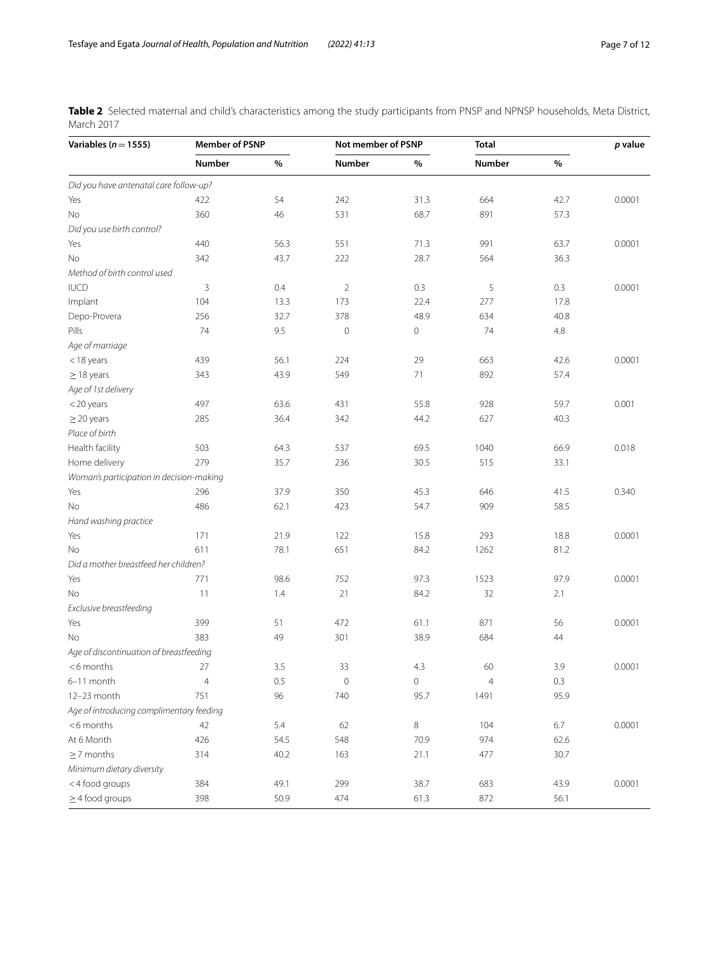<span id="page-6-0"></span>**Table 2** Selected maternal and child's characteristics among the study participants from PNSP and NPNSP households, Meta District, March 2017

| Variables ( $n = 1555$ )                                |                | <b>Member of PSNP</b> |                | Not member of PSNP  |                | Total   |        |
|---------------------------------------------------------|----------------|-----------------------|----------------|---------------------|----------------|---------|--------|
|                                                         | <b>Number</b>  | $\%$                  | <b>Number</b>  | $\%$                | Number         | $\%$    |        |
| Did you have antenatal care follow-up?                  |                |                       |                |                     |                |         |        |
| Yes                                                     | 422            | 54                    | 242            | 31.3                | 664            | 42.7    | 0.0001 |
| No                                                      | 360            | 46                    | 531            | 68.7                | 891            | 57.3    |        |
| Did you use birth control?                              |                |                       |                |                     |                |         |        |
| Yes                                                     | 440            | 56.3                  | 551            | 71.3                | 991            | 63.7    | 0.0001 |
| No                                                      | 342            | 43.7                  | 222            | 28.7                | 564            | 36.3    |        |
| Method of birth control used                            |                |                       |                |                     |                |         |        |
| <b>IUCD</b>                                             | 3              | 0.4                   | $\overline{2}$ | 0.3                 | 5              | 0.3     | 0.0001 |
| Implant                                                 | 104            | 13.3                  | 173            | 22.4                | 277            | 17.8    |        |
| Depo-Provera                                            | 256            | 32.7                  | 378            | 48.9                | 634            | 40.8    |        |
| Pills                                                   | 74             | 9.5                   | $\mathbf 0$    | $\mathsf{O}\xspace$ | 74             | 4.8     |        |
| Age of marriage                                         |                |                       |                |                     |                |         |        |
| $<$ 18 years                                            | 439            | 56.1                  | 224            | 29                  | 663            | 42.6    | 0.0001 |
| $\geq$ 18 years                                         | 343            | 43.9                  | 549            | 71                  | 892            | 57.4    |        |
| Age of 1st delivery                                     |                |                       |                |                     |                |         |        |
| $<$ 20 years                                            | 497            | 63.6                  | 431            | 55.8                | 928            | 59.7    | 0.001  |
| $\geq$ 20 years                                         | 285            | 36.4                  | 342            | 44.2                | 627            | 40.3    |        |
| Place of birth                                          |                |                       |                |                     |                |         |        |
| Health facility                                         | 503            | 64.3                  | 537            | 69.5                | 1040           | 66.9    | 0.018  |
| Home delivery                                           | 279            | 35.7                  | 236            | 30.5                | 515            | 33.1    |        |
| Woman's participation in decision-making                |                |                       |                |                     |                |         |        |
| Yes                                                     | 296            | 37.9                  | 350            | 45.3                | 646            | 41.5    | 0.340  |
| No                                                      | 486            | 62.1                  | 423            | 54.7                | 909            | 58.5    |        |
| Hand washing practice                                   |                |                       |                |                     |                |         |        |
| Yes                                                     | 171            | 21.9                  | 122            | 15.8                | 293            | 18.8    | 0.0001 |
| No                                                      | 611            | 78.1                  | 651            | 84.2                | 1262           | 81.2    |        |
| Did a mother breastfeed her children?                   |                |                       |                |                     |                |         |        |
| Yes                                                     | 771            | 98.6                  | 752            | 97.3                | 1523           | 97.9    | 0.0001 |
| No                                                      | 11             | 1.4                   | 21             | 84.2                | 32             | 2.1     |        |
| Exclusive breastfeeding                                 |                |                       |                |                     |                |         |        |
| Yes                                                     | 399            | 51                    | 472            | 61.1                | 871            | 56      | 0.0001 |
| No                                                      | 383            | 49                    | 301            | 38.9                | 684            | 44      |        |
| Age of discontinuation of breastfeeding                 |                |                       |                |                     |                |         |        |
| <6 months                                               | 27             | 3.5                   | 33             | 4.3                 | 60             | 3.9     | 0.0001 |
| 6-11 month                                              | $\overline{4}$ | 0.5                   |                |                     | $\overline{4}$ | $0.3\,$ |        |
|                                                         |                |                       | $\mathbf 0$    | $\mathbf 0$         |                |         |        |
| 12-23 month<br>Age of introducing complimentary feeding | 751            | 96                    | 740            | 95.7                | 1491           | 95.9    |        |
|                                                         |                |                       |                |                     |                |         |        |
| <6 months                                               | 42             | 5.4                   | 62             | $\,8\,$             | 104            | $6.7\,$ | 0.0001 |
| At 6 Month                                              | 426            | 54.5                  | 548            | 70.9                | 974            | 62.6    |        |
| $\geq$ 7 months                                         | 314            | 40.2                  | 163            | 21.1                | 477            | 30.7    |        |
| Minimum dietary diversity                               |                |                       |                |                     |                |         |        |
| <4 food groups                                          | 384            | 49.1                  | 299            | 38.7                | 683            | 43.9    | 0.0001 |
| $\geq$ 4 food groups                                    | 398            | 50.9                  | 474            | 61.3                | 872            | 56.1    |        |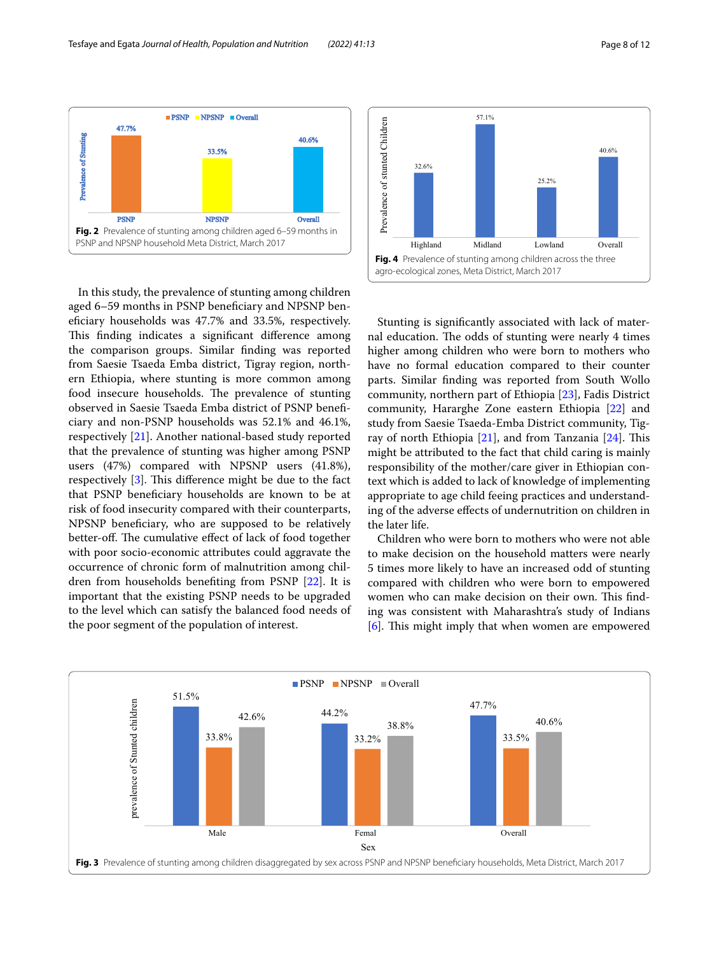

<span id="page-7-0"></span>In this study, the prevalence of stunting among children aged 6–59 months in PSNP benefciary and NPSNP benefciary households was 47.7% and 33.5%, respectively. This finding indicates a significant difference among the comparison groups. Similar fnding was reported from Saesie Tsaeda Emba district, Tigray region, northern Ethiopia, where stunting is more common among food insecure households. The prevalence of stunting observed in Saesie Tsaeda Emba district of PSNP benefciary and non-PSNP households was 52.1% and 46.1%, respectively [\[21\]](#page-11-16). Another national-based study reported that the prevalence of stunting was higher among PSNP users (47%) compared with NPSNP users (41.8%), respectively  $[3]$  $[3]$ . This difference might be due to the fact that PSNP benefciary households are known to be at risk of food insecurity compared with their counterparts, NPSNP benefciary, who are supposed to be relatively better-off. The cumulative effect of lack of food together with poor socio-economic attributes could aggravate the occurrence of chronic form of malnutrition among children from households benefting from PSNP [\[22](#page-11-17)]. It is important that the existing PSNP needs to be upgraded to the level which can satisfy the balanced food needs of the poor segment of the population of interest.



<span id="page-7-2"></span>Stunting is signifcantly associated with lack of maternal education. The odds of stunting were nearly 4 times higher among children who were born to mothers who have no formal education compared to their counter parts. Similar fnding was reported from South Wollo community, northern part of Ethiopia [[23\]](#page-11-18), Fadis District community, Hararghe Zone eastern Ethiopia [\[22](#page-11-17)] and study from Saesie Tsaeda-Emba District community, Tigray of north Ethiopia  $[21]$  $[21]$ , and from Tanzania  $[24]$  $[24]$  $[24]$ . This might be attributed to the fact that child caring is mainly responsibility of the mother/care giver in Ethiopian context which is added to lack of knowledge of implementing appropriate to age child feeing practices and understanding of the adverse efects of undernutrition on children in the later life.

Children who were born to mothers who were not able to make decision on the household matters were nearly 5 times more likely to have an increased odd of stunting compared with children who were born to empowered women who can make decision on their own. This finding was consistent with Maharashtra's study of Indians  $[6]$  $[6]$ . This might imply that when women are empowered

<span id="page-7-1"></span>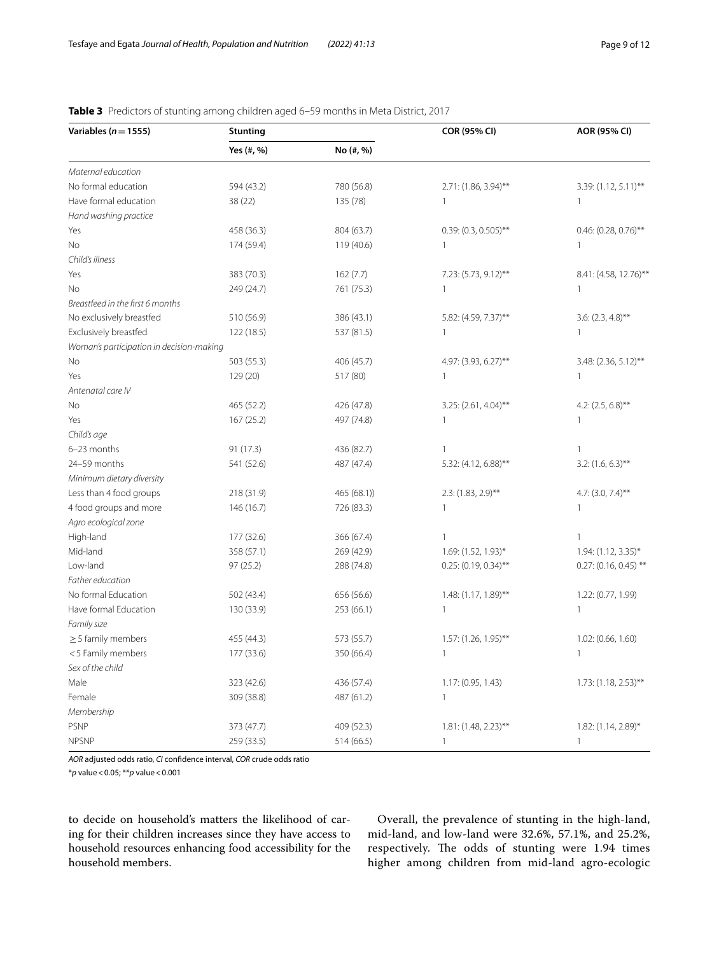| Variables ( $n = 1555$ )                 | <b>Stunting</b> |             | COR (95% CI)            | AOR (95% CI)            |
|------------------------------------------|-----------------|-------------|-------------------------|-------------------------|
|                                          | Yes (#, %)      | No (#, %)   |                         |                         |
| Maternal education                       |                 |             |                         |                         |
| No formal education                      | 594 (43.2)      | 780 (56.8)  | $2.71: (1.86, 3.94)$ ** | $3.39: (1.12, 5.11)$ ** |
| Have formal education                    | 38 (22)         | 135 (78)    | $\mathbf{1}$            | $\mathbf{1}$            |
| Hand washing practice                    |                 |             |                         |                         |
| Yes                                      | 458 (36.3)      | 804 (63.7)  | $0.39: (0.3, 0.505)$ ** | $0.46$ : (0.28, 0.76)** |
| <b>No</b>                                | 174 (59.4)      | 119 (40.6)  | $\mathbf{1}$            | 1                       |
| Child's illness                          |                 |             |                         |                         |
| Yes                                      | 383 (70.3)      | 162(7.7)    | 7.23: (5.73, 9.12)**    | 8.41: (4.58, 12.76)**   |
| No                                       | 249 (24.7)      | 761 (75.3)  | 1                       | 1                       |
| Breastfeed in the first 6 months         |                 |             |                         |                         |
| No exclusively breastfed                 | 510 (56.9)      | 386 (43.1)  | 5.82: (4.59, 7.37)**    | $3.6: (2.3, 4.8)$ **    |
| Exclusively breastfed                    | 122 (18.5)      | 537 (81.5)  | $\mathbf{1}$            | 1                       |
| Woman's participation in decision-making |                 |             |                         |                         |
| <b>No</b>                                | 503 (55.3)      | 406 (45.7)  | 4.97: (3.93, 6.27)**    | 3.48: (2.36, 5.12)**    |
| Yes                                      | 129 (20)        | 517 (80)    | $\mathbf{1}$            | $\mathbf{1}$            |
| Antenatal care IV                        |                 |             |                         |                         |
| <b>No</b>                                | 465 (52.2)      | 426 (47.8)  | $3.25: (2.61, 4.04)$ ** | 4.2: $(2.5, 6.8)$ **    |
| Yes                                      | 167 (25.2)      | 497 (74.8)  | $\mathbf{1}$            | 1                       |
| Child's age                              |                 |             |                         |                         |
| 6-23 months                              | 91 (17.3)       | 436 (82.7)  | $\mathbf{1}$            | $\mathbf{1}$            |
| 24-59 months                             | 541 (52.6)      | 487 (47.4)  | 5.32: (4.12, 6.88)**    | $3.2: (1.6, 6.3)$ **    |
| Minimum dietary diversity                |                 |             |                         |                         |
| Less than 4 food groups                  | 218 (31.9)      | 465 (68.1)) | $2.3: (1.83, 2.9)$ **   | $4.7: (3.0, 7.4)$ **    |
| 4 food groups and more                   | 146 (16.7)      | 726 (83.3)  | 1                       | 1                       |
| Agro ecological zone                     |                 |             |                         |                         |
| High-land                                | 177 (32.6)      | 366 (67.4)  | 1                       | 1                       |
| Mid-land                                 | 358 (57.1)      | 269 (42.9)  | 1.69: (1.52, 1.93)*     | 1.94: (1.12, 3.35)*     |
| Low-land                                 | 97 (25.2)       | 288 (74.8)  | $0.25: (0.19, 0.34)$ ** | $0.27: (0.16, 0.45)$ ** |
| Father education                         |                 |             |                         |                         |
| No formal Education                      | 502 (43.4)      | 656 (56.6)  | 1.48: (1.17, 1.89)**    | 1.22: (0.77, 1.99)      |
| Have formal Education                    | 130 (33.9)      | 253 (66.1)  | $\mathbf{1}$            | 1                       |
| Family size                              |                 |             |                         |                         |
| $\geq$ 5 family members                  | 455 (44.3)      | 573 (55.7)  | 1.57: (1.26, 1.95)**    | 1.02: (0.66, 1.60)      |
| <5 Family members                        | 177 (33.6)      | 350 (66.4)  | $\mathbf{1}$            | 1                       |
| Sex of the child                         |                 |             |                         |                         |
| Male                                     | 323 (42.6)      | 436 (57.4)  | 1.17: (0.95, 1.43)      | $1.73: (1.18, 2.53)$ ** |
| Female                                   | 309 (38.8)      | 487 (61.2)  | $\mathbf{1}$            |                         |
| Membership                               |                 |             |                         |                         |
| <b>PSNP</b>                              | 373 (47.7)      | 409 (52.3)  | $1.81: (1.48, 2.23)$ ** | 1.82: (1.14, 2.89)*     |
| <b>NPSNP</b>                             | 259 (33.5)      | 514 (66.5)  | $\mathbf{1}$            | $\mathbf{1}$            |

## <span id="page-8-0"></span>**Table 3** Predictors of stunting among children aged 6–59 months in Meta District, 2017

*AOR* adjusted odds ratio, *CI* confdence interval, *COR* crude odds ratio

\**p* value<0.05; \*\**p* value<0.001

to decide on household's matters the likelihood of caring for their children increases since they have access to household resources enhancing food accessibility for the household members.

Overall, the prevalence of stunting in the high-land, mid-land, and low-land were 32.6%, 57.1%, and 25.2%, respectively. The odds of stunting were 1.94 times higher among children from mid-land agro-ecologic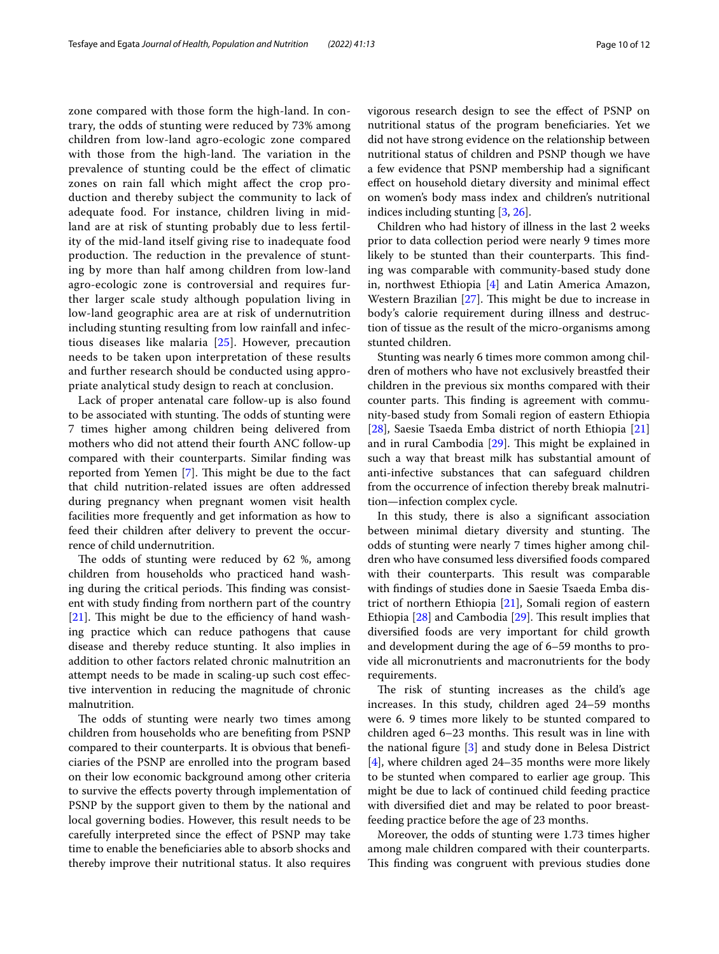zone compared with those form the high-land. In contrary, the odds of stunting were reduced by 73% among children from low-land agro-ecologic zone compared with those from the high-land. The variation in the prevalence of stunting could be the efect of climatic zones on rain fall which might afect the crop production and thereby subject the community to lack of adequate food. For instance, children living in midland are at risk of stunting probably due to less fertility of the mid-land itself giving rise to inadequate food production. The reduction in the prevalence of stunting by more than half among children from low-land agro-ecologic zone is controversial and requires further larger scale study although population living in low-land geographic area are at risk of undernutrition including stunting resulting from low rainfall and infectious diseases like malaria [\[25](#page-11-21)]. However, precaution needs to be taken upon interpretation of these results and further research should be conducted using appropriate analytical study design to reach at conclusion.

Lack of proper antenatal care follow-up is also found to be associated with stunting. The odds of stunting were 7 times higher among children being delivered from mothers who did not attend their fourth ANC follow-up compared with their counterparts. Similar fnding was reported from Yemen [[7\]](#page-11-22). This might be due to the fact that child nutrition-related issues are often addressed during pregnancy when pregnant women visit health facilities more frequently and get information as how to feed their children after delivery to prevent the occurrence of child undernutrition.

The odds of stunting were reduced by 62 %, among children from households who practiced hand washing during the critical periods. This finding was consistent with study fnding from northern part of the country  $[21]$  $[21]$ . This might be due to the efficiency of hand washing practice which can reduce pathogens that cause disease and thereby reduce stunting. It also implies in addition to other factors related chronic malnutrition an attempt needs to be made in scaling-up such cost efective intervention in reducing the magnitude of chronic malnutrition.

The odds of stunting were nearly two times among children from households who are benefting from PSNP compared to their counterparts. It is obvious that benefciaries of the PSNP are enrolled into the program based on their low economic background among other criteria to survive the efects poverty through implementation of PSNP by the support given to them by the national and local governing bodies. However, this result needs to be carefully interpreted since the efect of PSNP may take time to enable the benefciaries able to absorb shocks and thereby improve their nutritional status. It also requires vigorous research design to see the efect of PSNP on nutritional status of the program benefciaries. Yet we did not have strong evidence on the relationship between nutritional status of children and PSNP though we have a few evidence that PSNP membership had a signifcant efect on household dietary diversity and minimal efect on women's body mass index and children's nutritional indices including stunting [[3,](#page-11-2) [26\]](#page-11-23).

Children who had history of illness in the last 2 weeks prior to data collection period were nearly 9 times more likely to be stunted than their counterparts. This finding was comparable with community-based study done in, northwest Ethiopia [[4\]](#page-11-3) and Latin America Amazon, Western Brazilian  $[27]$ . This might be due to increase in body's calorie requirement during illness and destruction of tissue as the result of the micro-organisms among stunted children.

Stunting was nearly 6 times more common among children of mothers who have not exclusively breastfed their children in the previous six months compared with their counter parts. This finding is agreement with community-based study from Somali region of eastern Ethiopia [[28\]](#page-11-25), Saesie Tsaeda Emba district of north Ethiopia [[21](#page-11-16)] and in rural Cambodia  $[29]$  $[29]$ . This might be explained in such a way that breast milk has substantial amount of anti-infective substances that can safeguard children from the occurrence of infection thereby break malnutrition—infection complex cycle.

In this study, there is also a signifcant association between minimal dietary diversity and stunting. The odds of stunting were nearly 7 times higher among children who have consumed less diversifed foods compared with their counterparts. This result was comparable with fndings of studies done in Saesie Tsaeda Emba district of northern Ethiopia [[21\]](#page-11-16), Somali region of eastern Ethiopia [[28\]](#page-11-25) and Cambodia [\[29](#page-11-26)]. This result implies that diversifed foods are very important for child growth and development during the age of 6–59 months to provide all micronutrients and macronutrients for the body requirements.

The risk of stunting increases as the child's age increases. In this study, children aged 24–59 months were 6. 9 times more likely to be stunted compared to children aged 6–23 months. This result was in line with the national fgure [[3\]](#page-11-2) and study done in Belesa District [[4\]](#page-11-3), where children aged 24–35 months were more likely to be stunted when compared to earlier age group. This might be due to lack of continued child feeding practice with diversifed diet and may be related to poor breastfeeding practice before the age of 23 months.

Moreover, the odds of stunting were 1.73 times higher among male children compared with their counterparts. This finding was congruent with previous studies done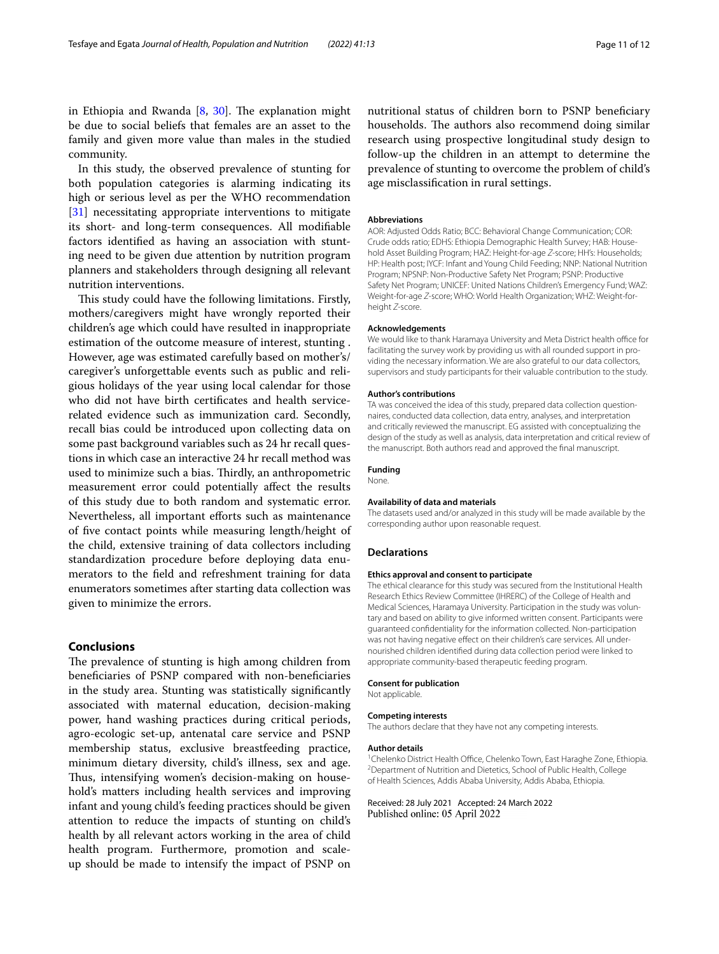in Ethiopia and Rwanda  $[8, 30]$  $[8, 30]$  $[8, 30]$  $[8, 30]$ . The explanation might be due to social beliefs that females are an asset to the family and given more value than males in the studied community.

In this study, the observed prevalence of stunting for both population categories is alarming indicating its high or serious level as per the WHO recommendation [[31\]](#page-11-28) necessitating appropriate interventions to mitigate its short- and long-term consequences. All modifable factors identifed as having an association with stunting need to be given due attention by nutrition program planners and stakeholders through designing all relevant nutrition interventions.

This study could have the following limitations. Firstly, mothers/caregivers might have wrongly reported their children's age which could have resulted in inappropriate estimation of the outcome measure of interest, stunting . However, age was estimated carefully based on mother's/ caregiver's unforgettable events such as public and religious holidays of the year using local calendar for those who did not have birth certifcates and health servicerelated evidence such as immunization card. Secondly, recall bias could be introduced upon collecting data on some past background variables such as 24 hr recall questions in which case an interactive 24 hr recall method was used to minimize such a bias. Thirdly, an anthropometric measurement error could potentially affect the results of this study due to both random and systematic error. Nevertheless, all important efforts such as maintenance of fve contact points while measuring length/height of the child, extensive training of data collectors including standardization procedure before deploying data enumerators to the feld and refreshment training for data enumerators sometimes after starting data collection was given to minimize the errors.

## **Conclusions**

The prevalence of stunting is high among children from benefciaries of PSNP compared with non-benefciaries in the study area. Stunting was statistically signifcantly associated with maternal education, decision-making power, hand washing practices during critical periods, agro-ecologic set-up, antenatal care service and PSNP membership status, exclusive breastfeeding practice, minimum dietary diversity, child's illness, sex and age. Thus, intensifying women's decision-making on household's matters including health services and improving infant and young child's feeding practices should be given attention to reduce the impacts of stunting on child's health by all relevant actors working in the area of child health program. Furthermore, promotion and scaleup should be made to intensify the impact of PSNP on

nutritional status of children born to PSNP benefciary households. The authors also recommend doing similar research using prospective longitudinal study design to follow-up the children in an attempt to determine the prevalence of stunting to overcome the problem of child's age misclassifcation in rural settings.

#### **Abbreviations**

AOR: Adjusted Odds Ratio; BCC: Behavioral Change Communication; COR: Crude odds ratio; EDHS: Ethiopia Demographic Health Survey; HAB: Household Asset Building Program; HAZ: Height-for-age *Z*-score; HH's: Households; HP: Health post; IYCF: Infant and Young Child Feeding; NNP: National Nutrition Program; NPSNP: Non-Productive Safety Net Program; PSNP: Productive Safety Net Program; UNICEF: United Nations Children's Emergency Fund; WAZ: Weight-for-age *Z*-score; WHO: World Health Organization; WHZ: Weight-forheight *Z*-score.

#### **Acknowledgements**

We would like to thank Haramaya University and Meta District health office for facilitating the survey work by providing us with all rounded support in providing the necessary information. We are also grateful to our data collectors, supervisors and study participants for their valuable contribution to the study.

#### **Author's contributions**

TA was conceived the idea of this study, prepared data collection questionnaires, conducted data collection, data entry, analyses, and interpretation and critically reviewed the manuscript. EG assisted with conceptualizing the design of the study as well as analysis, data interpretation and critical review of the manuscript. Both authors read and approved the fnal manuscript.

#### **Funding**

None.

#### **Availability of data and materials**

The datasets used and/or analyzed in this study will be made available by the corresponding author upon reasonable request.

#### **Declarations**

#### **Ethics approval and consent to participate**

The ethical clearance for this study was secured from the Institutional Health Research Ethics Review Committee (IHRERC) of the College of Health and Medical Sciences, Haramaya University. Participation in the study was voluntary and based on ability to give informed written consent. Participants were guaranteed confdentiality for the information collected. Non-participation was not having negative effect on their children's care services. All undernourished children identifed during data collection period were linked to appropriate community-based therapeutic feeding program.

#### **Consent for publication**

Not applicable.

#### **Competing interests**

The authors declare that they have not any competing interests.

#### **Author details**

<sup>1</sup> Chelenko District Health Office, Chelenko Town, East Haraghe Zone, Ethiopia. <sup>2</sup> Department of Nutrition and Dietetics, School of Public Health, College of Health Sciences, Addis Ababa University, Addis Ababa, Ethiopia.

Received: 28 July 2021 Accepted: 24 March 2022Published online: 05 April 2022